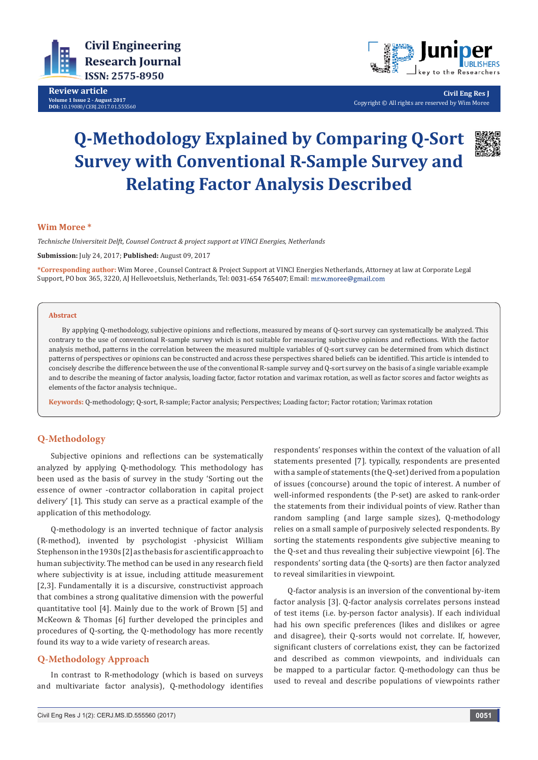

**Review article Volume 1 Issue 2 - August 2017 DOI:** [10.19080/CERJ.2017.01.555560](http://dx.doi.org/10.19080/CERJ.2017.01.555560
)



**Civil Eng Res J** Copyright © All rights are reserved by Wim Moree

# **Q-Methodology Explained by Comparing Q-Sort Survey with Conventional R-Sample Survey and Relating Factor Analysis Described**



## **Wim Moree \***

*Technische Universiteit Delft, Counsel Contract & project support at VINCI Energies, Netherlands*

**Submission:** July 24, 2017; **Published:** August 09, 2017

**\*Corresponding author:** Wim Moree , Counsel Contract & Project Support at VINCI Energies Netherlands, Attorney at law at Corporate Legal Support, PO box 365, 3220, AJ Hellevoetsluis, Netherlands, Tel: 0031-654 765407; Email: mr.w.moree@gmail.com

#### **Abstract**

By applying Q-methodology, subjective opinions and reflections, measured by means of Q-sort survey can systematically be analyzed. This contrary to the use of conventional R-sample survey which is not suitable for measuring subjective opinions and reflections. With the factor analysis method, patterns in the correlation between the measured multiple variables of Q-sort survey can be determined from which distinct patterns of perspectives or opinions can be constructed and across these perspectives shared beliefs can be identified. This article is intended to concisely describe the difference between the use of the conventional R-sample survey and Q-sort survey on the basis of a single variable example and to describe the meaning of factor analysis, loading factor, factor rotation and varimax rotation, as well as factor scores and factor weights as elements of the factor analysis technique..

**Keywords:** Q-methodology; Q-sort, R-sample; Factor analysis; Perspectives; Loading factor; Factor rotation; Varimax rotation

## **Q-Methodology**

Subjective opinions and reflections can be systematically analyzed by applying Q-methodology. This methodology has been used as the basis of survey in the study 'Sorting out the essence of owner -contractor collaboration in capital project delivery' [1]. This study can serve as a practical example of the application of this methodology.

Q-methodology is an inverted technique of factor analysis (R-method), invented by psychologist -physicist William Stephenson in the 1930s [2] as the basis for a scientific approach to human subjectivity. The method can be used in any research field where subjectivity is at issue, including attitude measurement [2,3]. Fundamentally it is a discursive, constructivist approach that combines a strong qualitative dimension with the powerful quantitative tool [4]. Mainly due to the work of Brown [5] and McKeown & Thomas [6] further developed the principles and procedures of Q-sorting, the Q-methodology has more recently found its way to a wide variety of research areas.

## **Q-Methodology Approach**

In contrast to R-methodology (which is based on surveys and multivariate factor analysis), Q-methodology identifies

respondents' responses within the context of the valuation of all statements presented [7]. typically, respondents are presented with a sample of statements (the Q-set) derived from a population of issues (concourse) around the topic of interest. A number of well-informed respondents (the P-set) are asked to rank-order the statements from their individual points of view. Rather than random sampling (and large sample sizes), Q-methodology relies on a small sample of purposively selected respondents. By sorting the statements respondents give subjective meaning to the Q-set and thus revealing their subjective viewpoint [6]. The respondents' sorting data (the Q-sorts) are then factor analyzed to reveal similarities in viewpoint.

Q-factor analysis is an inversion of the conventional by-item factor analysis [3]. Q-factor analysis correlates persons instead of test items (i.e. by-person factor analysis). If each individual had his own specific preferences (likes and dislikes or agree and disagree), their Q-sorts would not correlate. If, however, significant clusters of correlations exist, they can be factorized and described as common viewpoints, and individuals can be mapped to a particular factor. Q-methodology can thus be used to reveal and describe populations of viewpoints rather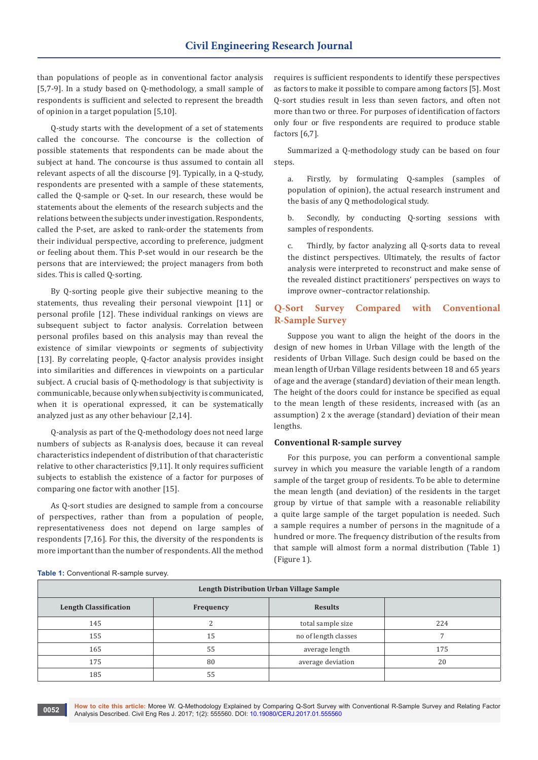than populations of people as in conventional factor analysis [5,7-9]. In a study based on Q-methodology, a small sample of respondents is sufficient and selected to represent the breadth of opinion in a target population [5,10].

Q-study starts with the development of a set of statements called the concourse. The concourse is the collection of possible statements that respondents can be made about the subject at hand. The concourse is thus assumed to contain all relevant aspects of all the discourse [9]. Typically, in a Q-study, respondents are presented with a sample of these statements, called the Q-sample or Q-set. In our research, these would be statements about the elements of the research subjects and the relations between the subjects under investigation. Respondents, called the P-set, are asked to rank-order the statements from their individual perspective, according to preference, judgment or feeling about them. This P-set would in our research be the persons that are interviewed; the project managers from both sides. This is called Q-sorting.

By Q-sorting people give their subjective meaning to the statements, thus revealing their personal viewpoint [11] or personal profile [12]. These individual rankings on views are subsequent subject to factor analysis. Correlation between personal profiles based on this analysis may than reveal the existence of similar viewpoints or segments of subjectivity [13]. By correlating people, Q-factor analysis provides insight into similarities and differences in viewpoints on a particular subject. A crucial basis of Q-methodology is that subjectivity is communicable, because only when subjectivity is communicated, when it is operational expressed, it can be systematically analyzed just as any other behaviour [2,14].

Q-analysis as part of the Q-methodology does not need large numbers of subjects as R-analysis does, because it can reveal characteristics independent of distribution of that characteristic relative to other characteristics [9,11]. It only requires sufficient subjects to establish the existence of a factor for purposes of comparing one factor with another [15].

As Q-sort studies are designed to sample from a concourse of perspectives, rather than from a population of people, representativeness does not depend on large samples of respondents [7,16]. For this, the diversity of the respondents is more important than the number of respondents. All the method

requires is sufficient respondents to identify these perspectives as factors to make it possible to compare among factors [5]. Most Q-sort studies result in less than seven factors, and often not more than two or three. For purposes of identification of factors only four or five respondents are required to produce stable factors [6,7].

Summarized a Q-methodology study can be based on four steps.

a. Firstly, by formulating Q-samples (samples of population of opinion), the actual research instrument and the basis of any Q methodological study.

b. Secondly, by conducting Q-sorting sessions with samples of respondents.

c. Thirdly, by factor analyzing all Q-sorts data to reveal the distinct perspectives. Ultimately, the results of factor analysis were interpreted to reconstruct and make sense of the revealed distinct practitioners' perspectives on ways to improve owner–contractor relationship.

## **Q-Sort Survey Compared with Conventional R-Sample Survey**

Suppose you want to align the height of the doors in the design of new homes in Urban Village with the length of the residents of Urban Village. Such design could be based on the mean length of Urban Village residents between 18 and 65 years of age and the average (standard) deviation of their mean length. The height of the doors could for instance be specified as equal to the mean length of these residents, increased with (as an assumption) 2 x the average (standard) deviation of their mean lengths.

### **Conventional R-sample survey**

For this purpose, you can perform a conventional sample survey in which you measure the variable length of a random sample of the target group of residents. To be able to determine the mean length (and deviation) of the residents in the target group by virtue of that sample with a reasonable reliability a quite large sample of the target population is needed. Such a sample requires a number of persons in the magnitude of a hundred or more. The frequency distribution of the results from that sample will almost form a normal distribution (Table 1) (Figure 1).

| Table 1: Conventional R-sample survey. |  |
|----------------------------------------|--|
|----------------------------------------|--|

| Length Distribution Urban Village Sample |           |                      |     |  |  |  |  |  |  |  |
|------------------------------------------|-----------|----------------------|-----|--|--|--|--|--|--|--|
| <b>Length Classification</b>             | Frequency | <b>Results</b>       |     |  |  |  |  |  |  |  |
| 145                                      |           | total sample size    | 224 |  |  |  |  |  |  |  |
| 155                                      | 15        | no of length classes |     |  |  |  |  |  |  |  |
| 165                                      | 55        | average length       | 175 |  |  |  |  |  |  |  |
| 175                                      | 80        | average deviation    | 20  |  |  |  |  |  |  |  |
| 185                                      | 55        |                      |     |  |  |  |  |  |  |  |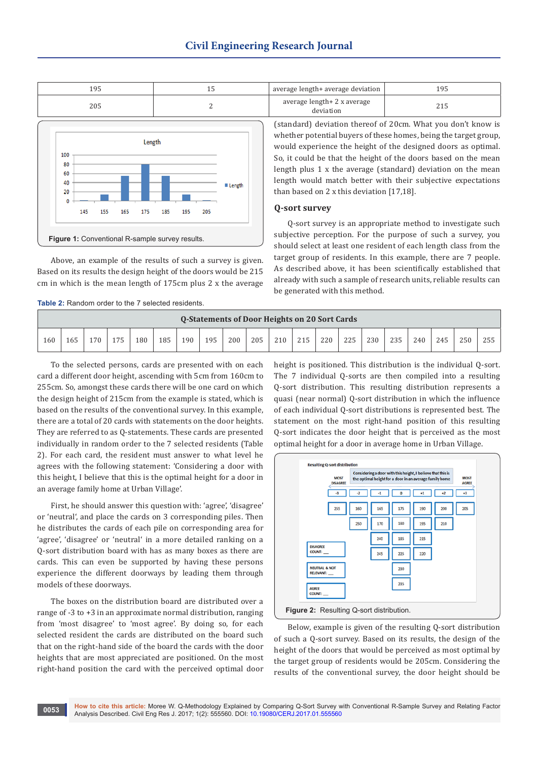

Above, an example of the results of such a survey is given. Based on its results the design height of the doors would be 215 cm in which is the mean length of 175cm plus 2 x the average

**Table 2:** Random order to the 7 selected residents.

| 195 | average length+ average deviation $\parallel$ | '95 |
|-----|-----------------------------------------------|-----|
| 205 | average length+ 2 x average<br>deviation      |     |

(standard) deviation thereof of 20cm. What you don't know is whether potential buyers of these homes, being the target group, would experience the height of the designed doors as optimal. So, it could be that the height of the doors based on the mean length plus 1 x the average (standard) deviation on the mean length would match better with their subjective expectations than based on 2 x this deviation [17,18].

#### **Q-sort survey**

Q-sort survey is an appropriate method to investigate such subjective perception. For the purpose of such a survey, you should select at least one resident of each length class from the target group of residents. In this example, there are 7 people. As described above, it has been scientifically established that already with such a sample of research units, reliable results can be generated with this method.

| <b>Q-Statements of Door Heights on 20 Sort Cards</b> |     |     |     |     |     |     |     |     |     |     |     |     |     |     |     |     |     |     |     |
|------------------------------------------------------|-----|-----|-----|-----|-----|-----|-----|-----|-----|-----|-----|-----|-----|-----|-----|-----|-----|-----|-----|
| 160                                                  | 165 | 170 | 175 | 180 | 185 | 190 | 195 | 200 | 205 | 210 | 215 | 220 | 225 | 230 | 235 | 240 | 245 | 250 | 255 |

To the selected persons, cards are presented with on each card a different door height, ascending with 5cm from 160cm to 255cm. So, amongst these cards there will be one card on which the design height of 215cm from the example is stated, which is based on the results of the conventional survey. In this example, there are a total of 20 cards with statements on the door heights. They are referred to as Q-statements. These cards are presented individually in random order to the 7 selected residents (Table 2). For each card, the resident must answer to what level he agrees with the following statement: 'Considering a door with this height, I believe that this is the optimal height for a door in an average family home at Urban Village'.

First, he should answer this question with: 'agree', 'disagree' or 'neutral', and place the cards on 3 corresponding piles. Then he distributes the cards of each pile on corresponding area for 'agree', 'disagree' or 'neutral' in a more detailed ranking on a Q-sort distribution board with has as many boxes as there are cards. This can even be supported by having these persons experience the different doorways by leading them through models of these doorways.

The boxes on the distribution board are distributed over a range of -3 to +3 in an approximate normal distribution, ranging from 'most disagree' to 'most agree'. By doing so, for each selected resident the cards are distributed on the board such that on the right-hand side of the board the cards with the door heights that are most appreciated are positioned. On the most right-hand position the card with the perceived optimal door height is positioned. This distribution is the individual Q-sort. The 7 individual Q-sorts are then compiled into a resulting Q-sort distribution. This resulting distribution represents a quasi (near normal) Q-sort distribution in which the influence of each individual Q-sort distributions is represented best. The statement on the most right-hand position of this resulting Q-sort indicates the door height that is perceived as the most optimal height for a door in average home in Urban Village.



Below, example is given of the resulting Q-sort distribution of such a Q-sort survey. Based on its results, the design of the height of the doors that would be perceived as most optimal by the target group of residents would be 205cm. Considering the results of the conventional survey, the door height should be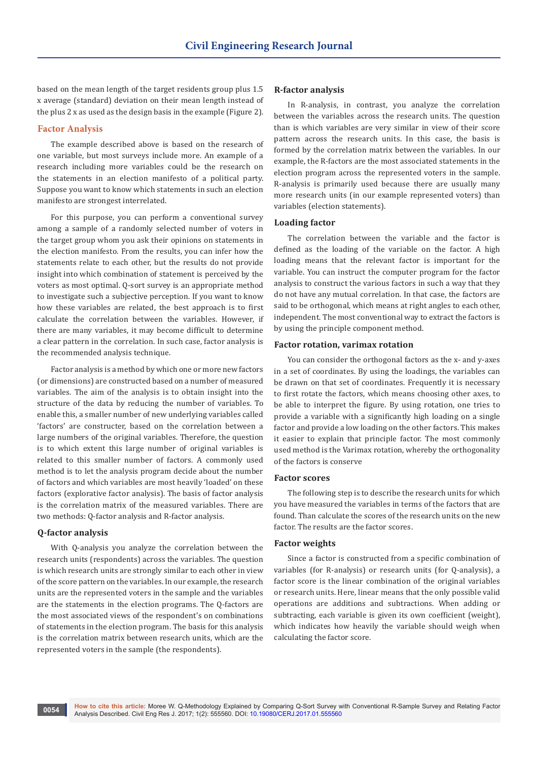based on the mean length of the target residents group plus 1.5 x average (standard) deviation on their mean length instead of the plus 2 x as used as the design basis in the example (Figure 2).

#### **Factor Analysis**

The example described above is based on the research of one variable, but most surveys include more. An example of a research including more variables could be the research on the statements in an election manifesto of a political party. Suppose you want to know which statements in such an election manifesto are strongest interrelated.

For this purpose, you can perform a conventional survey among a sample of a randomly selected number of voters in the target group whom you ask their opinions on statements in the election manifesto. From the results, you can infer how the statements relate to each other, but the results do not provide insight into which combination of statement is perceived by the voters as most optimal. Q-sort survey is an appropriate method to investigate such a subjective perception. If you want to know how these variables are related, the best approach is to first calculate the correlation between the variables. However, if there are many variables, it may become difficult to determine a clear pattern in the correlation. In such case, factor analysis is the recommended analysis technique.

Factor analysis is a method by which one or more new factors (or dimensions) are constructed based on a number of measured variables. The aim of the analysis is to obtain insight into the structure of the data by reducing the number of variables. To enable this, a smaller number of new underlying variables called 'factors' are constructer, based on the correlation between a large numbers of the original variables. Therefore, the question is to which extent this large number of original variables is related to this smaller number of factors. A commonly used method is to let the analysis program decide about the number of factors and which variables are most heavily 'loaded' on these factors (explorative factor analysis). The basis of factor analysis is the correlation matrix of the measured variables. There are two methods: Q-factor analysis and R-factor analysis.

## **Q-factor analysis**

With Q-analysis you analyze the correlation between the research units (respondents) across the variables. The question is which research units are strongly similar to each other in view of the score pattern on the variables. In our example, the research units are the represented voters in the sample and the variables are the statements in the election programs. The Q-factors are the most associated views of the respondent's on combinations of statements in the election program. The basis for this analysis is the correlation matrix between research units, which are the represented voters in the sample (the respondents).

#### **R-factor analysis**

In R-analysis, in contrast, you analyze the correlation between the variables across the research units. The question than is which variables are very similar in view of their score pattern across the research units. In this case, the basis is formed by the correlation matrix between the variables. In our example, the R-factors are the most associated statements in the election program across the represented voters in the sample. R-analysis is primarily used because there are usually many more research units (in our example represented voters) than variables (election statements).

#### **Loading factor**

The correlation between the variable and the factor is defined as the loading of the variable on the factor. A high loading means that the relevant factor is important for the variable. You can instruct the computer program for the factor analysis to construct the various factors in such a way that they do not have any mutual correlation. In that case, the factors are said to be orthogonal, which means at right angles to each other, independent. The most conventional way to extract the factors is by using the principle component method.

#### **Factor rotation, varimax rotation**

You can consider the orthogonal factors as the x- and y-axes in a set of coordinates. By using the loadings, the variables can be drawn on that set of coordinates. Frequently it is necessary to first rotate the factors, which means choosing other axes, to be able to interpret the figure. By using rotation, one tries to provide a variable with a significantly high loading on a single factor and provide a low loading on the other factors. This makes it easier to explain that principle factor. The most commonly used method is the Varimax rotation, whereby the orthogonality of the factors is conserve

#### **Factor scores**

The following step is to describe the research units for which you have measured the variables in terms of the factors that are found. Than calculate the scores of the research units on the new factor. The results are the factor scores.

## **Factor weights**

Since a factor is constructed from a specific combination of variables (for R-analysis) or research units (for Q-analysis), a factor score is the linear combination of the original variables or research units. Here, linear means that the only possible valid operations are additions and subtractions. When adding or subtracting, each variable is given its own coefficient (weight), which indicates how heavily the variable should weigh when calculating the factor score.